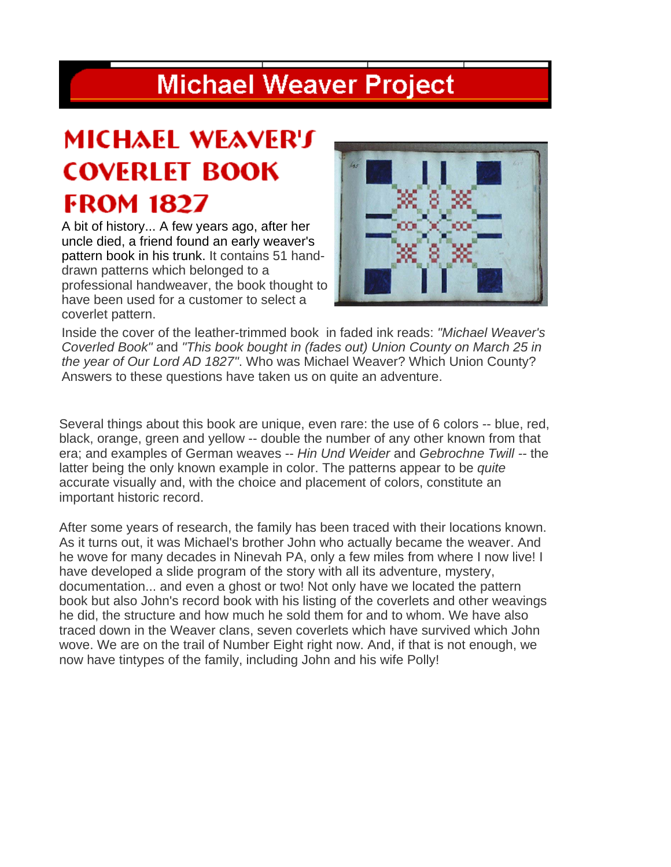### **Michael Weaver Project**

## MICHAEL WEAVER'S **COVERLET BOOK FROM 1827**

A bit of history... A few years ago, after her uncle died, a friend found an early weaver's pattern book in his trunk. It contains 51 handdrawn patterns which belonged to a professional handweaver, the book thought to have been used for a customer to select a coverlet pattern.



Inside the cover of the leather-trimmed book in faded ink reads: *"Michael Weaver's Coverled Book"* and *"This book bought in (fades out) Union County on March 25 in the year of Our Lord AD 1827"*. Who was Michael Weaver? Which Union County? Answers to these questions have taken us on quite an adventure.

Several things about this book are unique, even rare: the use of 6 colors -- blue, red, black, orange, green and yellow -- double the number of any other known from that era; and examples of German weaves -- *Hin Und Weider* and *Gebrochne Twill --* the latter being the only known example in color. The patterns appear to be *quite*  accurate visually and, with the choice and placement of colors, constitute an important historic record.

After some years of research, the family has been traced with their locations known. As it turns out, it was Michael's brother John who actually became the weaver. And he wove for many decades in Ninevah PA, only a few miles from where I now live! I have developed a slide program of the story with all its adventure, mystery, documentation... and even a ghost or two! Not only have we located the pattern book but also John's record book with his listing of the coverlets and other weavings he did, the structure and how much he sold them for and to whom. We have also traced down in the Weaver clans, seven coverlets which have survived which John wove. We are on the trail of Number Eight right now. And, if that is not enough, we now have tintypes of the family, including John and his wife Polly!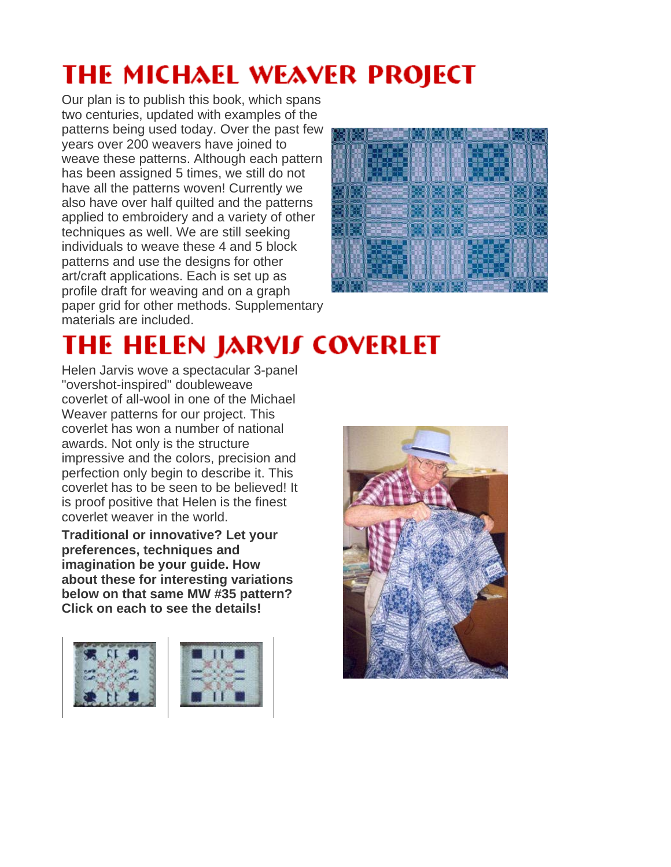# **THE MICHAEL WEAVER PROJECT**

Our plan is to publish this book, which spans two centuries, updated with examples of the patterns being used today. Over the past few years over 200 weavers have joined to weave these patterns. Although each pattern has been assigned 5 times, we still do not have all the patterns woven! Currently we also have over half quilted and the patterns applied to embroidery and a variety of other techniques as well. We are still seeking individuals to weave these 4 and 5 block patterns and use the designs for other art/craft applications. Each is set up as profile draft for weaving and on a graph paper grid for other methods. Supplementary materials are included.



# **THE HELEN JARVIS COVERLET**

Helen Jarvis wove a spectacular 3-panel "overshot-inspired" doubleweave coverlet of all-wool in one of the Michael Weaver patterns for our project. This coverlet has won a number of national awards. Not only is the structure impressive and the colors, precision and perfection only begin to describe it. This coverlet has to be seen to be believed! It is proof positive that Helen is the finest coverlet weaver in the world.

**Traditional or innovative? Let your preferences, techniques and imagination be your guide. How about these for interesting variations below on that same MW #35 pattern? Click on each to see the details!**





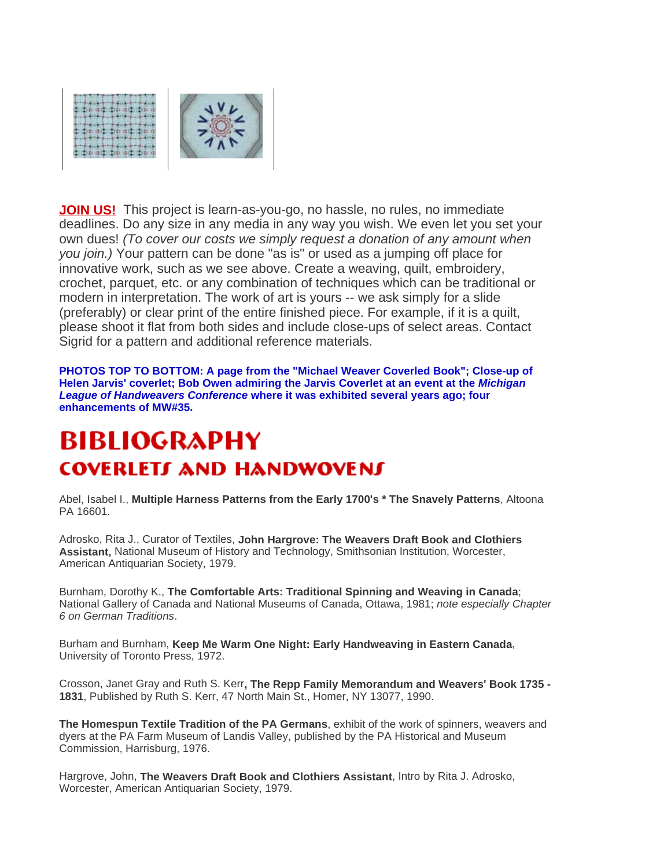

**JOIN US!** This project is learn-as-you-go, no hassle, no rules, no immediate deadlines. Do any size in any media in any way you wish. We even let you set your own dues! *(To cover our costs we simply request a donation of any amount when you join.)* Your pattern can be done "as is" or used as a jumping off place for innovative work, such as we see above. Create a weaving, quilt, embroidery, crochet, parquet, etc. or any combination of techniques which can be traditional or modern in interpretation. The work of art is yours -- we ask simply for a slide (preferably) or clear print of the entire finished piece. For example, if it is a quilt, please shoot it flat from both sides and include close-ups of select areas. Contact Sigrid for a pattern and additional reference materials.

**PHOTOS TOP TO BOTTOM: A page from the "Michael Weaver Coverled Book"; Close-up of Helen Jarvis' coverlet; Bob Owen admiring the Jarvis Coverlet at an event at the** *Michigan League of Handweavers Conference* **where it was exhibited several years ago; four enhancements of MW#35.** 

#### BIBI IOGRAPHY **COVERLETS AND HANDWOVENS**

Abel, Isabel I., **Multiple Harness Patterns from the Early 1700's \* The Snavely Patterns**, Altoona PA 16601.

Adrosko, Rita J., Curator of Textiles, **John Hargrove: The Weavers Draft Book and Clothiers Assistant,** National Museum of History and Technology, Smithsonian Institution, Worcester, American Antiquarian Society, 1979.

Burnham, Dorothy K., **The Comfortable Arts: Traditional Spinning and Weaving in Canada**; National Gallery of Canada and National Museums of Canada, Ottawa, 1981; *note especially Chapter 6 on German Traditions*.

Burham and Burnham, **Keep Me Warm One Night: Early Handweaving in Eastern Canada**, University of Toronto Press, 1972.

Crosson, Janet Gray and Ruth S. Kerr**, The Repp Family Memorandum and Weavers' Book 1735 - 1831**, Published by Ruth S. Kerr, 47 North Main St., Homer, NY 13077, 1990.

**The Homespun Textile Tradition of the PA Germans**, exhibit of the work of spinners, weavers and dyers at the PA Farm Museum of Landis Valley, published by the PA Historical and Museum Commission, Harrisburg, 1976.

Hargrove, John, **The Weavers Draft Book and Clothiers Assistant**, Intro by Rita J. Adrosko, Worcester, American Antiquarian Society, 1979.